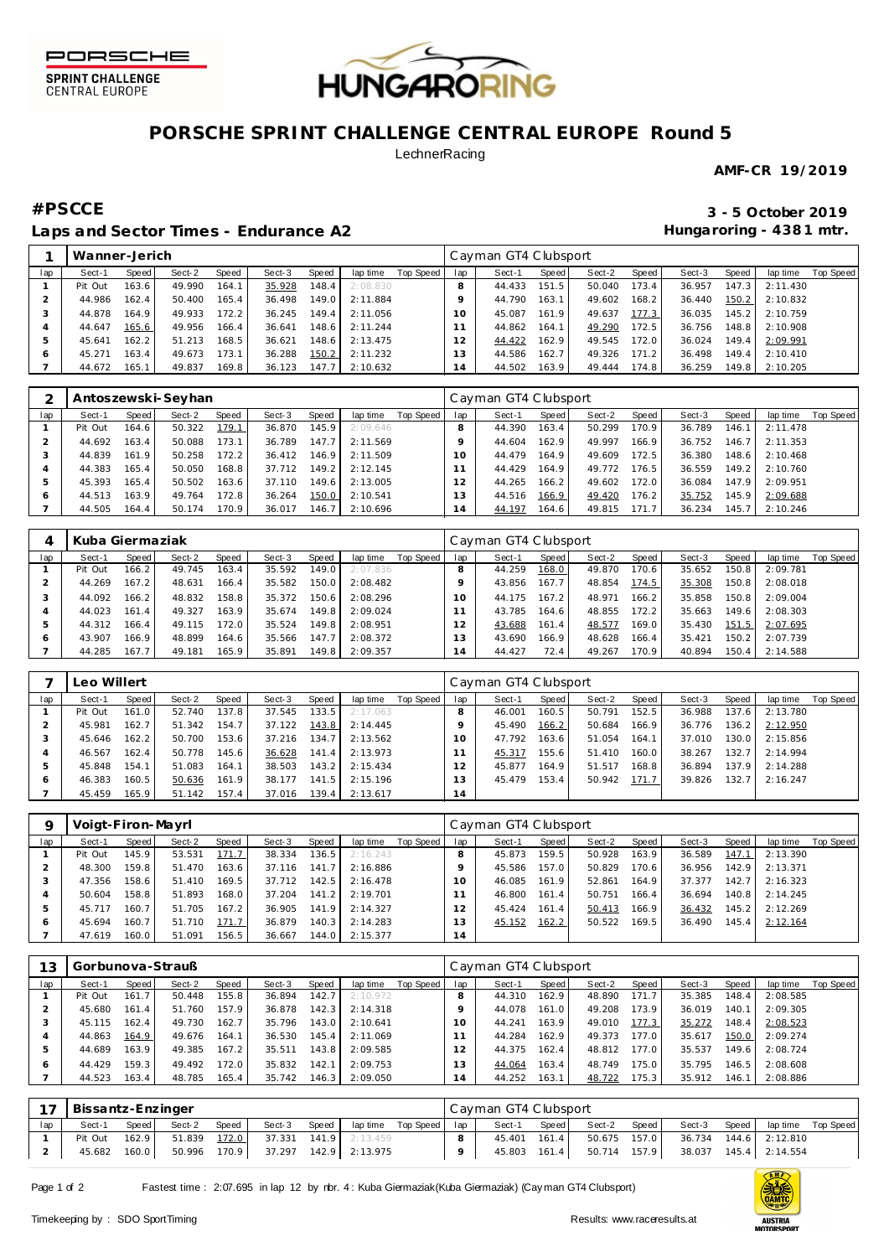



# **PORSCHE SPRINT CHALLENGE CENTRAL EUROPE Round 5**

### **LechnerRacing**

**AMF-CR 19/2019**

## **Laps and Sector Times - Endurance A2**

**#PSCCE 3 - 5 October 2019 Hungaroring - 438 1 mtr.**

|     | Wanner-Jerich |       |        |       |        |       |          |           |     | Cayman GT4 Clubsport |       |        |       |        |       |          |           |
|-----|---------------|-------|--------|-------|--------|-------|----------|-----------|-----|----------------------|-------|--------|-------|--------|-------|----------|-----------|
| lap | Sect-1        | Speed | Sect-2 | Speed | Sect-3 | Speed | lap time | Top Speed | lap | Sect-1               | Speed | Sect-2 | Speed | Sect-3 | Speed | lap time | Top Speed |
|     | Pit Out       | 163.6 | 49.990 | 164.1 | 35.928 | 148.4 | 2:08.830 |           |     | 44.433               | 151.5 | 50.040 | 173.4 | 36.957 | 147.3 | 2:11.430 |           |
|     | 44.986        | 162.4 | 50.400 | 165.4 | 36.498 | 149.0 | 2:11.884 |           |     | 44.790               | 163.1 | 49.602 | 168.2 | 36.440 | 150.2 | 2:10.832 |           |
|     | 44.878        | 164.9 | 49.933 | 172.2 | 36.245 | 149.4 | 2:11.056 |           | 10  | 45.087               | 161.9 | 49.637 | 177.3 | 36.035 | 145.2 | 2:10.759 |           |
|     | 44.647        | 165.6 | 49.956 | 166.4 | 36.641 | 148.6 | 2:11.244 |           |     | 44.862               | 164.1 | 49.290 | 172.5 | 36.756 | 148.8 | 2:10.908 |           |
|     | 45.641        | 162.2 | 51.213 | 168.5 | 36.621 | 148.6 | 2:13.475 |           |     | 44.422               | 162.9 | 49.545 | 172.0 | 36.024 | 149.4 | 2:09.991 |           |
|     | 45.271        | 163.4 | 49.673 | 173.1 | 36.288 | 150.2 | 2:11.232 |           | 3   | 44.586               | 162.7 | 49.326 | 171.2 | 36.498 | 149.4 | 2:10.410 |           |
|     | 44.672        | 165.1 | 49.837 | 169.8 | 36.123 | 147.7 | 2:10.632 |           | 14  | 44.502               | 163.9 | 49.444 | 174.8 | 36.259 | 149.8 | 2:10.205 |           |

|     |         |       | Antoszewski-Seyhan |       |        |       |          |           |     | Cayman GT4 Clubsport |                    |        |       |        |       |          |           |
|-----|---------|-------|--------------------|-------|--------|-------|----------|-----------|-----|----------------------|--------------------|--------|-------|--------|-------|----------|-----------|
| lap | Sect-1  | Speed | Sect-2             | Speed | Sect-3 | Speed | lap time | Top Speed | lap | Sect-1               | Speed              | Sect-2 | Speed | Sect-3 | Speed | lap time | Top Speed |
|     | Pit Out | 164.6 | 50.322             | 179.1 | 36.870 | 145.9 | 2:09.646 |           |     | 44.390               | 163.4 <sub>1</sub> | 50.299 | 170.9 | 36.789 | 146.1 | 2:11.478 |           |
|     | 44.692  | 163.4 | 50.088             | 173.1 | 36.789 | 147.7 | 2:11.569 |           |     | 44.604               | 162.9              | 49.997 | 166.9 | 36.752 | 146.7 | 2:11.353 |           |
|     | 44.839  | 161.9 | 50.258             | 172.2 | 36.412 | 146.9 | 2:11.509 |           |     | 44.479               | 164.9              | 49.609 | 172.5 | 36.380 | 148.6 | 2:10.468 |           |
|     | 44.383  | 165.4 | 50.050             | 168.8 | 37.712 | 149.2 | 2:12.145 |           |     | 44.429               | 164.9              | 49.772 | 176.5 | 36.559 | 149.2 | 2:10.760 |           |
| 5   | 45.393  | 165.4 | 50.502             | 163.6 | 37.110 | 149.6 | 2:13.005 |           |     | 44.265               | 166.2              | 49.602 | 172.0 | 36.084 | 147.9 | 2:09.951 |           |
| ō   | 44.513  | 163.9 | 49.764             | 172.8 | 36.264 | 150.0 | 2:10.541 |           | 3   | 44.516               | 166.9              | 49.420 | 176.2 | 35.752 | 145.9 | 2:09.688 |           |
|     | 44.505  | 164.4 | 50.174             | 170.9 | 36.017 | 146.7 | 2:10.696 |           | 4   | 44.197               | 164.6              | 49.815 | 171.7 | 36.234 | 145.7 | 2:10.246 |           |

|     | Kuba Giermaziak |       |        |       |        |        |          |           |     | Cayman GT4 Clubsport |       |        |                    |        |       |          |           |
|-----|-----------------|-------|--------|-------|--------|--------|----------|-----------|-----|----------------------|-------|--------|--------------------|--------|-------|----------|-----------|
| lap | Sect-1          | Speed | Sect-2 | Speed | Sect-3 | Speed  | lap time | Top Speed | lap | Sect-1               | Speed | Sect-2 | Speed              | Sect-3 | Speed | lap time | Top Speed |
|     | Pit Out         | 166.2 | 49.745 | 163.4 | 35.592 | 149.0  | 2:07.836 |           |     | 44.259               | 168.0 | 49.870 | 170.6              | 35.652 | 150.8 | 2:09.781 |           |
|     | 44.269          | 167.2 | 48.631 | 166.4 | 35.582 | 150.0  | 2:08.482 |           |     | 43.856               | 167.7 | 48.854 | 174.5              | 35.308 | 150.8 | 2:08.018 |           |
|     | 44.092          | 166.2 | 48.832 | 158.8 | 35.372 | 150.6  | 2:08.296 |           | 10  | 44.175               | 167.2 | 48.971 | 166.2 <sub>1</sub> | 35.858 | 150.8 | 2:09.004 |           |
|     | 44.023          | 161.4 | 49.327 | 163.9 | 35.674 | 149.8  | 2:09.024 |           |     | 43.785               | 164.6 | 48.855 | 172.2              | 35.663 | 149.6 | 2:08.303 |           |
| 5   | 44.312          | 66.4  | 49.115 | 172.0 | 35.524 | 149.81 | 2:08.951 |           |     | 43.688               | 161.4 | 48.577 | 169.0              | 35.430 | 151.5 | 2:07.695 |           |
| 6   | 43.907          | 166.9 | 48.899 | 164.6 | 35.566 | 147.7  | 2:08.372 |           | 13  | 43.690               | 166.9 | 48.628 | 166.4              | 35.421 | 150.2 | 2:07.739 |           |
|     | 44.285          | 167.7 | 49.181 | 165.9 | 35.891 | 149.8  | 2:09.357 |           | 14  | 44.427               | 72.4  | 49.267 | 170.9              | 40.894 | 150.4 | 2:14.588 |           |

|              | eo Willert |       |        |       |        |                    |          |           |                 | Cayman GT4 Clubsport |        |        |       |        |       |          |           |
|--------------|------------|-------|--------|-------|--------|--------------------|----------|-----------|-----------------|----------------------|--------|--------|-------|--------|-------|----------|-----------|
| lap          | Sect-1     | Speed | Sect-2 | Speed | Sect-3 | Speed              | lap time | Top Speed | lap             | Sect-1               | Speed  | Sect-2 | Speed | Sect-3 | Speed | lap time | Top Speed |
|              | Pit Out    | 161.0 | 52.740 | 137.8 | 37.545 | 133.5              | 2:17.063 |           |                 | 46.001               | 160.5  | 50.791 | 152.5 | 36.988 | 137.6 | 2:13.780 |           |
|              | 45.981     | 162.7 | 51.342 | 154.7 | 37.122 | 143.8              | 2:14.445 |           |                 | 45.490               | 166.2  | 50.684 | 166.9 | 36.776 | 136.2 | 2:12.950 |           |
|              | 45.646     | 162.2 | 50.700 | 153.6 | 37.216 | 134.7              | 2:13.562 |           | 10 <sup>1</sup> | 47.792               | 163.6  | 51.054 | 164.1 | 37.010 | 130.0 | 2:15.856 |           |
|              | 46.567     | 162.4 | 50.778 | 145.6 | 36.628 | 141.4              | 2:13.973 |           |                 | 45.317               | 155.6  | 51.410 | 160.0 | 38.267 | 132.7 | 2:14.994 |           |
|              | 45.848     | 154.1 | 51.083 | 164.1 | 38.503 | 143.2              | 2:15.434 |           |                 | 45.877               | 164.91 | 51.517 | 168.8 | 36.894 | 137.9 | 2:14.288 |           |
| <sub>6</sub> | 46.383     | 160.5 | 50.636 | 161.9 | 38.177 | 141.5              | 2:15.196 |           | 3               | 45.479               | 153.4  | 50.942 | 171.7 | 39.826 | 132.7 | 2:16.247 |           |
|              | 45.459     | 165.9 | 51.142 | 157.4 | 37.016 | 139.4 <sub>1</sub> | 2:13.617 |           | 4               |                      |        |        |       |        |       |          |           |

|     | Voigt-Firon-Mayrl |       |        |       |        |       |          |           |     | Cayman GT4 Clubsport |       |        |       |        |       |          |           |
|-----|-------------------|-------|--------|-------|--------|-------|----------|-----------|-----|----------------------|-------|--------|-------|--------|-------|----------|-----------|
| lap | Sect-1            | Speed | Sect-2 | Speed | Sect-3 | Speed | lap time | Top Speed | lap | Sect-1               | Speed | Sect-2 | Speed | Sect-3 | Speed | lap time | Top Speed |
|     | Pit Out           | 145.9 | 53.531 | 171.7 | 38.334 | 136.5 | 2:16.243 |           |     | 45.873               | 159.5 | 50.928 | 163.9 | 36.589 | 147.1 | 2:13.390 |           |
|     | 48.300            | 159.8 | 51.470 | 163.6 | 37.116 | 141.7 | 2:16.886 |           |     | 45.586               | 157.0 | 50.829 | 170.6 | 36.956 | 142.9 | 2:13.371 |           |
|     | 47.356            | 158.6 | 51.410 | 169.5 | 37.712 | 142.5 | 2:16.478 |           | 10  | 46.085               | 161.9 | 52.861 | 164.9 | 37.377 | 142.7 | 2:16.323 |           |
|     | 50.604            | 158.8 | 51.893 | 168.0 | 37.204 | 141.2 | 2:19.701 |           |     | 46.800               | 161.4 | 50.751 | 166.4 | 36.694 | 140.8 | 2:14.245 |           |
| 5   | 45.717            | 160.7 | 51.705 | 167.2 | 36.905 | 141.9 | 2:14.327 |           |     | 45.424               | 161.4 | 50.413 | 166.9 | 36.432 | 145.2 | 2:12.269 |           |
| 6   | 45.694            | 160.7 | 51.710 | 171.7 | 36.879 | 140.3 | 2:14.283 |           | 3   | 45.152               | 162.2 | 50.522 | 169.5 | 36.490 | 145.4 | 2:12.164 |           |
|     | 47.619            | 160.0 | 51.091 | 156.5 | 36.667 | 144.0 | 2:15.377 |           | 14  |                      |       |        |       |        |       |          |           |

| 13  | Gorbunova-Strauß |       |        |       |        |       |          |           |          | Cayman GT4 Clubsport |                    |        |       |        |       |          |                  |
|-----|------------------|-------|--------|-------|--------|-------|----------|-----------|----------|----------------------|--------------------|--------|-------|--------|-------|----------|------------------|
| lap | Sect-1           | Speed | Sect-2 | Speed | Sect-3 | Speed | lap time | Top Speed | lap      | Sect-1               | Speed              | Sect-2 | Speed | Sect-3 | Speed | lap time | <b>Top Speed</b> |
|     | Pit Out          | 161.7 | 50.448 | 155.8 | 36.894 | 142.7 | 2:10.972 |           |          | 44.310               | 162.9              | 48.890 | 171.7 | 35.385 | 148.4 | 2:08.585 |                  |
|     | 45.680           | 161.4 | 51.760 | 157.9 | 36.878 | 142.3 | 2:14.318 |           |          | 44.078               | 161.0              | 49.208 | 173.9 | 36.019 | 140.1 | 2:09.305 |                  |
|     | 45.115           | 162.4 | 49.730 | 162.7 | 35.796 | 143.0 | 2:10.641 |           | $\Omega$ | 44.241               | 163.9              | 49.010 | 177.3 | 35.272 | 148.4 | 2:08.523 |                  |
|     | 44.863           | 164.9 | 49.676 | 164.1 | 36.530 | 145.4 | 2:11.069 |           |          | 44.284               | 162.9              | 49.373 | 177.0 | 35.617 | 150.0 | 2:09.274 |                  |
| b   | 44.689           | 163.9 | 49.385 | 167.2 | 35.511 | 143.8 | 2:09.585 |           |          | 44.375               | 162.4 <sup>1</sup> | 48.812 | 177.0 | 35.537 | 149.6 | 2:08.724 |                  |
| O   | 44.429           | 159.3 | 49.492 | 172.0 | 35.832 | 142.1 | 2:09.753 |           | 13       | 44.064               | 163.4              | 48.749 | 175.0 | 35.795 | 146.5 | 2:08.608 |                  |
|     | 44.523           | 163.4 | 48.785 | 165.4 | 35.742 | 146.3 | 2:09.050 |           | 14       | 44.252               | 163.1              | 48.722 | 175.3 | 35.912 | 146.1 | 2:08.886 |                  |

| 17  | Bissantz-Enzinger |       |        |       |                                    |       |                         | Cayman GT4 Clubsport |       |              |       |                                        |                                |  |
|-----|-------------------|-------|--------|-------|------------------------------------|-------|-------------------------|----------------------|-------|--------------|-------|----------------------------------------|--------------------------------|--|
| lap | Sect-1            | Speed | Sect-2 | Speed | Sect-3                             | Speed | laptime Top Speed   lap | Sect-1               | Speed | Sect-2       | Speed |                                        | Sect-3 Speed laptime Top Speed |  |
|     | Pit Out           | 162.9 |        |       | 51.839 172.0 37.331 141.9 2:13.459 |       |                         | 45.401 161.4         |       |              |       | 50.675  157.0  36.734  144.6  2:12.810 |                                |  |
|     | 45.682            | 160.0 | 50.996 |       | 170.9 37.297 142.9 2:13.975        |       |                         | 45.803 161.4         |       | 50.714 157.9 |       |                                        | 38.037  145.4  2:14.554        |  |

Page 1 of 2 Fastest time : 2:07.695 in lap 12 by nbr. 4 : Kuba Giermaziak(Kuba Giermaziak) (Cay man GT4 Clubsport)